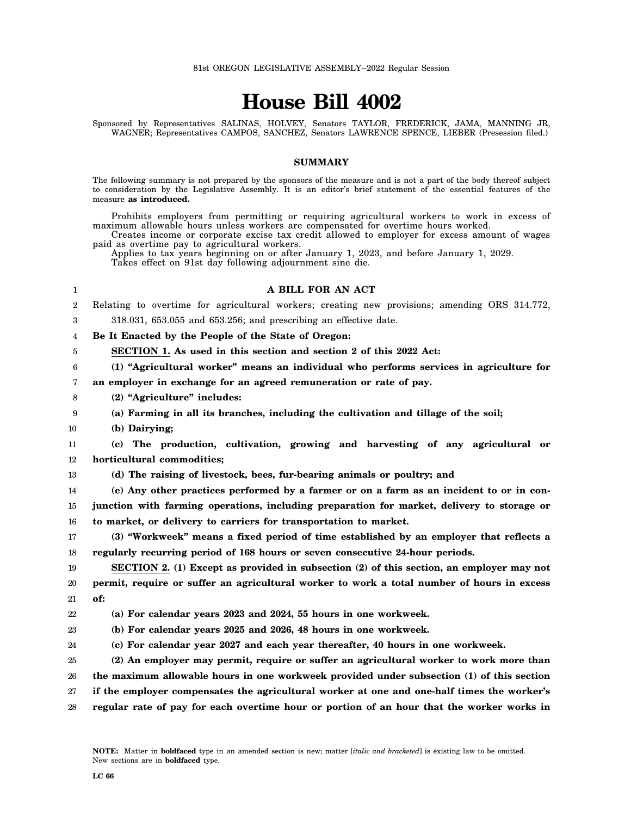# **House Bill 4002**

Sponsored by Representatives SALINAS, HOLVEY, Senators TAYLOR, FREDERICK, JAMA, MANNING JR, WAGNER; Representatives CAMPOS, SANCHEZ, Senators LAWRENCE SPENCE, LIEBER (Presession filed.)

## **SUMMARY**

The following summary is not prepared by the sponsors of the measure and is not a part of the body thereof subject to consideration by the Legislative Assembly. It is an editor's brief statement of the essential features of the measure **as introduced.**

Prohibits employers from permitting or requiring agricultural workers to work in excess of maximum allowable hours unless workers are compensated for overtime hours worked.

Creates income or corporate excise tax credit allowed to employer for excess amount of wages paid as overtime pay to agricultural workers.

Applies to tax years beginning on or after January 1, 2023, and before January 1, 2029.

Takes effect on 91st day following adjournment sine die.

#### 1 2 3 4 5 6 7 8 9 10 11 12 13 14 15 16 17 18 19 20 21 22 23 24 25 26 27 28 **A BILL FOR AN ACT** Relating to overtime for agricultural workers; creating new provisions; amending ORS 314.772, 318.031, 653.055 and 653.256; and prescribing an effective date. **Be It Enacted by the People of the State of Oregon: SECTION 1. As used in this section and section 2 of this 2022 Act: (1) "Agricultural worker" means an individual who performs services in agriculture for an employer in exchange for an agreed remuneration or rate of pay. (2) "Agriculture" includes: (a) Farming in all its branches, including the cultivation and tillage of the soil; (b) Dairying; (c) The production, cultivation, growing and harvesting of any agricultural or horticultural commodities; (d) The raising of livestock, bees, fur-bearing animals or poultry; and (e) Any other practices performed by a farmer or on a farm as an incident to or in conjunction with farming operations, including preparation for market, delivery to storage or to market, or delivery to carriers for transportation to market. (3) "Workweek" means a fixed period of time established by an employer that reflects a regularly recurring period of 168 hours or seven consecutive 24-hour periods. SECTION 2. (1) Except as provided in subsection (2) of this section, an employer may not permit, require or suffer an agricultural worker to work a total number of hours in excess of: (a) For calendar years 2023 and 2024, 55 hours in one workweek. (b) For calendar years 2025 and 2026, 48 hours in one workweek. (c) For calendar year 2027 and each year thereafter, 40 hours in one workweek. (2) An employer may permit, require or suffer an agricultural worker to work more than the maximum allowable hours in one workweek provided under subsection (1) of this section if the employer compensates the agricultural worker at one and one-half times the worker's regular rate of pay for each overtime hour or portion of an hour that the worker works in**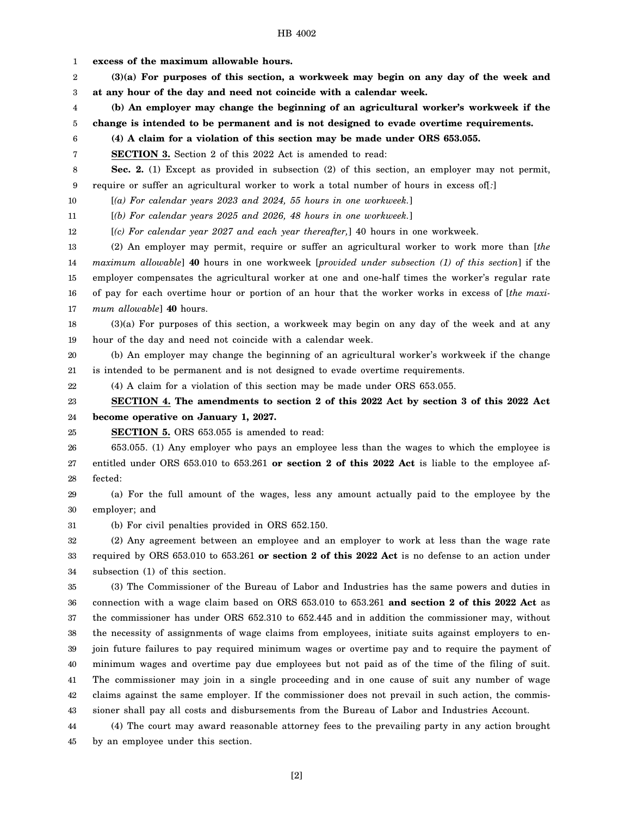1 2 3 4 5 6 7 8 9 10 11 12 13 14 15 16 17 18 19 20 21 22 23 24 25 26 27 28 29 30 31 32 33 34 35 36 37 38 39 40 41 42 43 44 **excess of the maximum allowable hours. (3)(a) For purposes of this section, a workweek may begin on any day of the week and at any hour of the day and need not coincide with a calendar week. (b) An employer may change the beginning of an agricultural worker's workweek if the change is intended to be permanent and is not designed to evade overtime requirements. (4) A claim for a violation of this section may be made under ORS 653.055. SECTION 3.** Section 2 of this 2022 Act is amended to read: **Sec. 2.** (1) Except as provided in subsection (2) of this section, an employer may not permit, require or suffer an agricultural worker to work a total number of hours in excess of[*:*] [*(a) For calendar years 2023 and 2024, 55 hours in one workweek.*] [*(b) For calendar years 2025 and 2026, 48 hours in one workweek.*] [*(c) For calendar year 2027 and each year thereafter,*] 40 hours in one workweek. (2) An employer may permit, require or suffer an agricultural worker to work more than [*the maximum allowable*] **40** hours in one workweek [*provided under subsection (1) of this section*] if the employer compensates the agricultural worker at one and one-half times the worker's regular rate of pay for each overtime hour or portion of an hour that the worker works in excess of [*the maximum allowable*] **40** hours. (3)(a) For purposes of this section, a workweek may begin on any day of the week and at any hour of the day and need not coincide with a calendar week. (b) An employer may change the beginning of an agricultural worker's workweek if the change is intended to be permanent and is not designed to evade overtime requirements. (4) A claim for a violation of this section may be made under ORS 653.055. **SECTION 4. The amendments to section 2 of this 2022 Act by section 3 of this 2022 Act become operative on January 1, 2027. SECTION 5.** ORS 653.055 is amended to read: 653.055. (1) Any employer who pays an employee less than the wages to which the employee is entitled under ORS 653.010 to 653.261 **or section 2 of this 2022 Act** is liable to the employee affected: (a) For the full amount of the wages, less any amount actually paid to the employee by the employer; and (b) For civil penalties provided in ORS 652.150. (2) Any agreement between an employee and an employer to work at less than the wage rate required by ORS 653.010 to 653.261 **or section 2 of this 2022 Act** is no defense to an action under subsection (1) of this section. (3) The Commissioner of the Bureau of Labor and Industries has the same powers and duties in connection with a wage claim based on ORS 653.010 to 653.261 **and section 2 of this 2022 Act** as the commissioner has under ORS 652.310 to 652.445 and in addition the commissioner may, without the necessity of assignments of wage claims from employees, initiate suits against employers to enjoin future failures to pay required minimum wages or overtime pay and to require the payment of minimum wages and overtime pay due employees but not paid as of the time of the filing of suit. The commissioner may join in a single proceeding and in one cause of suit any number of wage claims against the same employer. If the commissioner does not prevail in such action, the commissioner shall pay all costs and disbursements from the Bureau of Labor and Industries Account. (4) The court may award reasonable attorney fees to the prevailing party in any action brought

45 by an employee under this section.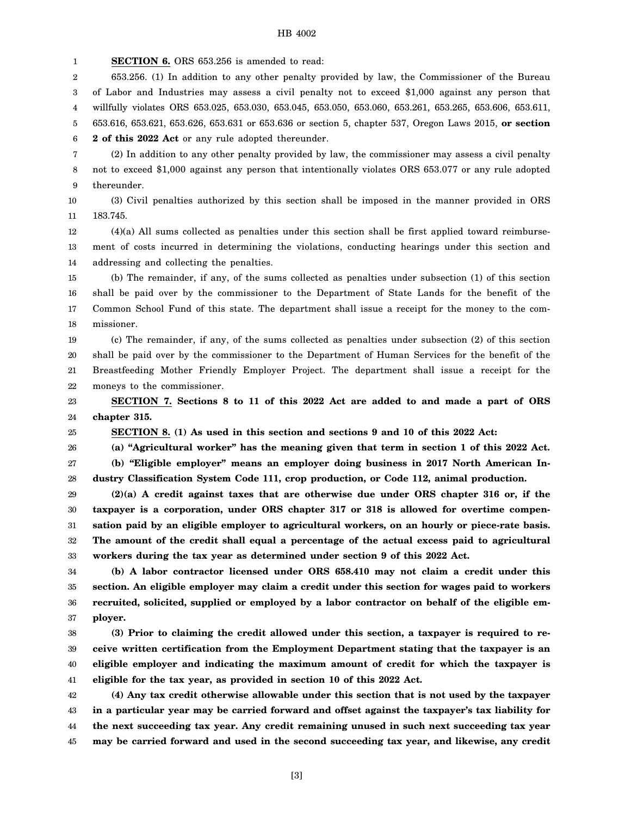1 **SECTION 6.** ORS 653.256 is amended to read:

25

2 3 4 5 6 653.256. (1) In addition to any other penalty provided by law, the Commissioner of the Bureau of Labor and Industries may assess a civil penalty not to exceed \$1,000 against any person that willfully violates ORS 653.025, 653.030, 653.045, 653.050, 653.060, 653.261, 653.265, 653.606, 653.611, 653.616, 653.621, 653.626, 653.631 or 653.636 or section 5, chapter 537, Oregon Laws 2015, **or section 2 of this 2022 Act** or any rule adopted thereunder.

7 8 9 (2) In addition to any other penalty provided by law, the commissioner may assess a civil penalty not to exceed \$1,000 against any person that intentionally violates ORS 653.077 or any rule adopted thereunder.

10 11 (3) Civil penalties authorized by this section shall be imposed in the manner provided in ORS 183.745.

12 13 14 (4)(a) All sums collected as penalties under this section shall be first applied toward reimbursement of costs incurred in determining the violations, conducting hearings under this section and addressing and collecting the penalties.

15 16 17 18 (b) The remainder, if any, of the sums collected as penalties under subsection (1) of this section shall be paid over by the commissioner to the Department of State Lands for the benefit of the Common School Fund of this state. The department shall issue a receipt for the money to the commissioner.

19 20 21 22 (c) The remainder, if any, of the sums collected as penalties under subsection (2) of this section shall be paid over by the commissioner to the Department of Human Services for the benefit of the Breastfeeding Mother Friendly Employer Project. The department shall issue a receipt for the moneys to the commissioner.

23 24 **SECTION 7. Sections 8 to 11 of this 2022 Act are added to and made a part of ORS chapter 315.**

**SECTION 8. (1) As used in this section and sections 9 and 10 of this 2022 Act:**

26 **(a) "Agricultural worker" has the meaning given that term in section 1 of this 2022 Act.**

27 28 **(b) "Eligible employer" means an employer doing business in 2017 North American Industry Classification System Code 111, crop production, or Code 112, animal production.**

29 30 31 32 33 **(2)(a) A credit against taxes that are otherwise due under ORS chapter 316 or, if the taxpayer is a corporation, under ORS chapter 317 or 318 is allowed for overtime compensation paid by an eligible employer to agricultural workers, on an hourly or piece-rate basis. The amount of the credit shall equal a percentage of the actual excess paid to agricultural workers during the tax year as determined under section 9 of this 2022 Act.**

34 35 36 37 **(b) A labor contractor licensed under ORS 658.410 may not claim a credit under this section. An eligible employer may claim a credit under this section for wages paid to workers recruited, solicited, supplied or employed by a labor contractor on behalf of the eligible employer.**

38 39 40 41 **(3) Prior to claiming the credit allowed under this section, a taxpayer is required to receive written certification from the Employment Department stating that the taxpayer is an eligible employer and indicating the maximum amount of credit for which the taxpayer is eligible for the tax year, as provided in section 10 of this 2022 Act.**

42 43 44 45 **(4) Any tax credit otherwise allowable under this section that is not used by the taxpayer in a particular year may be carried forward and offset against the taxpayer's tax liability for the next succeeding tax year. Any credit remaining unused in such next succeeding tax year may be carried forward and used in the second succeeding tax year, and likewise, any credit**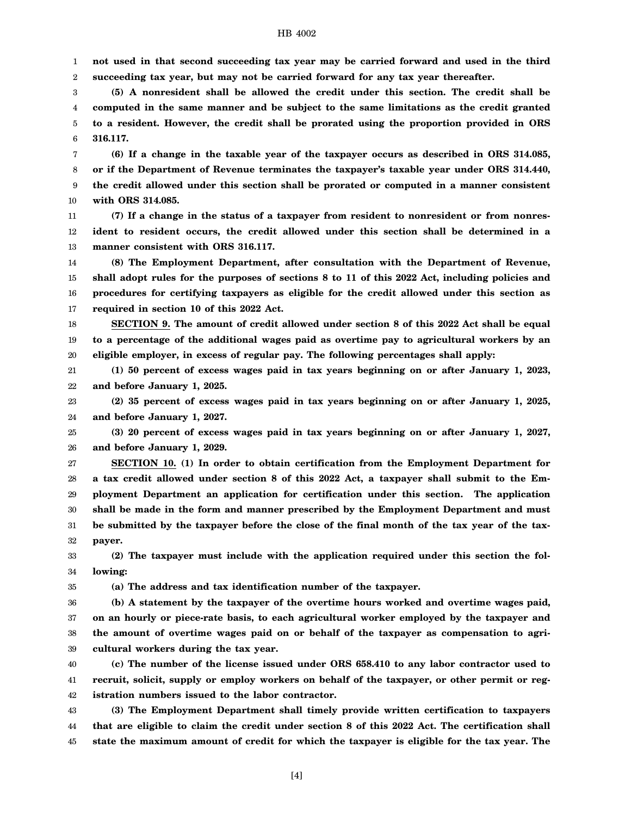1 2 **not used in that second succeeding tax year may be carried forward and used in the third succeeding tax year, but may not be carried forward for any tax year thereafter.**

3 4 5 6 **(5) A nonresident shall be allowed the credit under this section. The credit shall be computed in the same manner and be subject to the same limitations as the credit granted to a resident. However, the credit shall be prorated using the proportion provided in ORS 316.117.**

7 8 9 10 **(6) If a change in the taxable year of the taxpayer occurs as described in ORS 314.085, or if the Department of Revenue terminates the taxpayer's taxable year under ORS 314.440, the credit allowed under this section shall be prorated or computed in a manner consistent with ORS 314.085.**

11 12 13 **(7) If a change in the status of a taxpayer from resident to nonresident or from nonresident to resident occurs, the credit allowed under this section shall be determined in a manner consistent with ORS 316.117.**

14 15 16 17 **(8) The Employment Department, after consultation with the Department of Revenue, shall adopt rules for the purposes of sections 8 to 11 of this 2022 Act, including policies and procedures for certifying taxpayers as eligible for the credit allowed under this section as required in section 10 of this 2022 Act.**

18 19 20 **SECTION 9. The amount of credit allowed under section 8 of this 2022 Act shall be equal to a percentage of the additional wages paid as overtime pay to agricultural workers by an eligible employer, in excess of regular pay. The following percentages shall apply:**

21 22 **(1) 50 percent of excess wages paid in tax years beginning on or after January 1, 2023, and before January 1, 2025.**

23 24 **(2) 35 percent of excess wages paid in tax years beginning on or after January 1, 2025, and before January 1, 2027.**

25 26 **(3) 20 percent of excess wages paid in tax years beginning on or after January 1, 2027, and before January 1, 2029.**

27 28 29 30 31 32 **SECTION 10. (1) In order to obtain certification from the Employment Department for a tax credit allowed under section 8 of this 2022 Act, a taxpayer shall submit to the Employment Department an application for certification under this section. The application shall be made in the form and manner prescribed by the Employment Department and must be submitted by the taxpayer before the close of the final month of the tax year of the taxpayer.**

33 34 **(2) The taxpayer must include with the application required under this section the following:**

35

**(a) The address and tax identification number of the taxpayer.**

36 37 38 39 **(b) A statement by the taxpayer of the overtime hours worked and overtime wages paid, on an hourly or piece-rate basis, to each agricultural worker employed by the taxpayer and the amount of overtime wages paid on or behalf of the taxpayer as compensation to agricultural workers during the tax year.**

40 41 42 **(c) The number of the license issued under ORS 658.410 to any labor contractor used to recruit, solicit, supply or employ workers on behalf of the taxpayer, or other permit or registration numbers issued to the labor contractor.**

43 44 45 **(3) The Employment Department shall timely provide written certification to taxpayers that are eligible to claim the credit under section 8 of this 2022 Act. The certification shall state the maximum amount of credit for which the taxpayer is eligible for the tax year. The**

[4]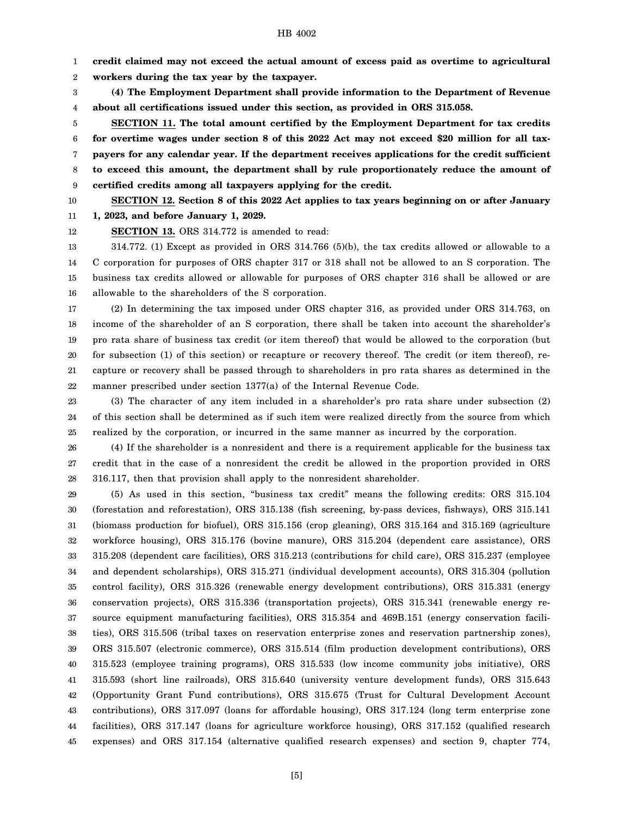1 **credit claimed may not exceed the actual amount of excess paid as overtime to agricultural**

2 **workers during the tax year by the taxpayer.**

3 4 **(4) The Employment Department shall provide information to the Department of Revenue about all certifications issued under this section, as provided in ORS 315.058.**

5 6 7 8 9 **SECTION 11. The total amount certified by the Employment Department for tax credits for overtime wages under section 8 of this 2022 Act may not exceed \$20 million for all taxpayers for any calendar year. If the department receives applications for the credit sufficient to exceed this amount, the department shall by rule proportionately reduce the amount of certified credits among all taxpayers applying for the credit.**

10 **SECTION 12. Section 8 of this 2022 Act applies to tax years beginning on or after January 1, 2023, and before January 1, 2029.**

11

12

**SECTION 13.** ORS 314.772 is amended to read:

13 14 15 16 314.772. (1) Except as provided in ORS 314.766 (5)(b), the tax credits allowed or allowable to a C corporation for purposes of ORS chapter 317 or 318 shall not be allowed to an S corporation. The business tax credits allowed or allowable for purposes of ORS chapter 316 shall be allowed or are allowable to the shareholders of the S corporation.

17 18 19 20 21 22 (2) In determining the tax imposed under ORS chapter 316, as provided under ORS 314.763, on income of the shareholder of an S corporation, there shall be taken into account the shareholder's pro rata share of business tax credit (or item thereof) that would be allowed to the corporation (but for subsection (1) of this section) or recapture or recovery thereof. The credit (or item thereof), recapture or recovery shall be passed through to shareholders in pro rata shares as determined in the manner prescribed under section 1377(a) of the Internal Revenue Code.

23 24 25 (3) The character of any item included in a shareholder's pro rata share under subsection (2) of this section shall be determined as if such item were realized directly from the source from which realized by the corporation, or incurred in the same manner as incurred by the corporation.

26 27 28 (4) If the shareholder is a nonresident and there is a requirement applicable for the business tax credit that in the case of a nonresident the credit be allowed in the proportion provided in ORS 316.117, then that provision shall apply to the nonresident shareholder.

29 30 31 32 33 34 35 36 37 38 39 40 41 42 43 44 45 (5) As used in this section, "business tax credit" means the following credits: ORS 315.104 (forestation and reforestation), ORS 315.138 (fish screening, by-pass devices, fishways), ORS 315.141 (biomass production for biofuel), ORS 315.156 (crop gleaning), ORS 315.164 and 315.169 (agriculture workforce housing), ORS 315.176 (bovine manure), ORS 315.204 (dependent care assistance), ORS 315.208 (dependent care facilities), ORS 315.213 (contributions for child care), ORS 315.237 (employee and dependent scholarships), ORS 315.271 (individual development accounts), ORS 315.304 (pollution control facility), ORS 315.326 (renewable energy development contributions), ORS 315.331 (energy conservation projects), ORS 315.336 (transportation projects), ORS 315.341 (renewable energy resource equipment manufacturing facilities), ORS 315.354 and 469B.151 (energy conservation facilities), ORS 315.506 (tribal taxes on reservation enterprise zones and reservation partnership zones), ORS 315.507 (electronic commerce), ORS 315.514 (film production development contributions), ORS 315.523 (employee training programs), ORS 315.533 (low income community jobs initiative), ORS 315.593 (short line railroads), ORS 315.640 (university venture development funds), ORS 315.643 (Opportunity Grant Fund contributions), ORS 315.675 (Trust for Cultural Development Account contributions), ORS 317.097 (loans for affordable housing), ORS 317.124 (long term enterprise zone facilities), ORS 317.147 (loans for agriculture workforce housing), ORS 317.152 (qualified research expenses) and ORS 317.154 (alternative qualified research expenses) and section 9, chapter 774,